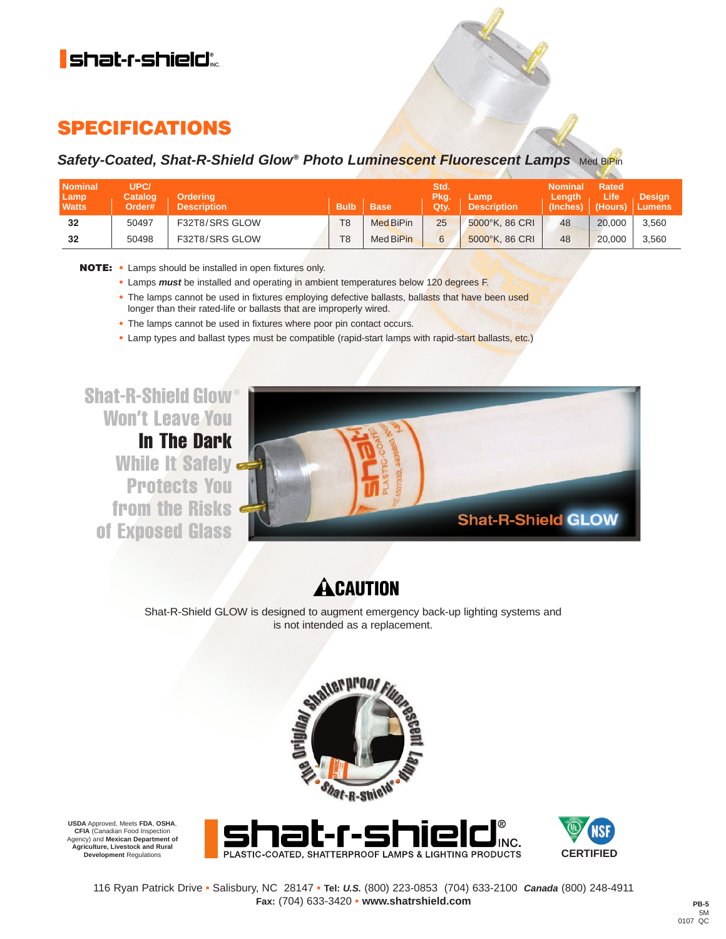#### **Shat-r-shield®**

#### **SPECIFICATIONS**

#### **Safety-Coated, Shat-R-Shield Glow® Photo Luminescent Fluorescent Lamps** Med BiPin

| <b>Nominal</b><br>Lamp | UPC/<br>Catalog<br>Order# | <b>Ordering</b>    |                |                  | Std.<br><b>Pkg.</b> | Lamp               | <b>Nominal</b><br>Lenath | <b>Rated</b><br>Life | <b>Design</b> |
|------------------------|---------------------------|--------------------|----------------|------------------|---------------------|--------------------|--------------------------|----------------------|---------------|
| <b>Watts</b>           |                           | <b>Description</b> | <b>Bulb</b>    | <b>Base</b>      | Qty.                | <b>Description</b> | (Inches)                 | (Hours)              | <b>Lumens</b> |
| 32                     | 50497                     | F32T8/SRS GLOW     | T <sub>8</sub> | <b>Med BiPin</b> | 25                  | 5000°K, 86 CRI     | 48                       | 20,000               | 3,560         |
| 32                     | 50498                     | F32T8/SRS GLOW     | T <sub>8</sub> | Med BiPin        | 6                   | 5000°K, 86 CRI     | 48                       | 20,000               | 3,560         |

**•** Lamps should be installed in open fixtures only. **NOTE:**

- **•** Lamps **must** be installed and operating in ambient temperatures below 120 degrees F.
- The lamps cannot be used in fixtures employing defective ballasts, ballasts that have been used longer than their rated-life or ballasts that are improperly wired.
- **•** The lamps cannot be used in fixtures where poor pin contact occurs.
- **•** Lamp types and ballast types must be compatible (rapid-start lamps with rapid-start ballasts, etc.)



#### **ACAUTION**

Shat-R-Shield GLOW is designed to augment emergency back-up lighting systems and is not intended as a replacement.



**USDA** Approved, Meets **FDA**, **OSHA**, **CFIA** (Canadian Food Inspection Agency) and **Mexican Department of Agriculture, Livestock and Rural Development** Regulations